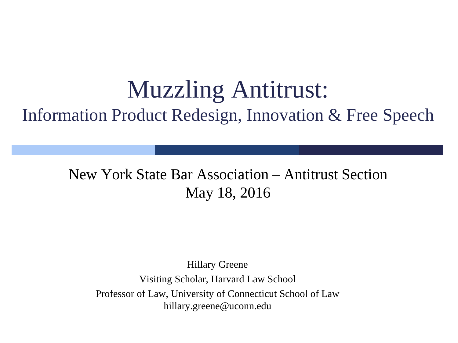### Muzzling Antitrust: Information Product Redesign, Innovation & Free Speech

#### New York State Bar Association – Antitrust Section May 18, 2016

i<br>I

Hillary Greene Visiting Scholar, Harvard Law School Professor of Law, University of Connecticut School of Law hillary.greene@uconn.edu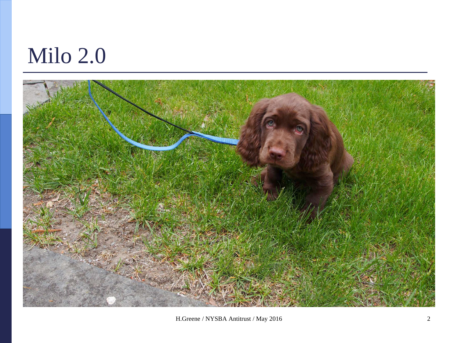# Milo 2.0



H.Greene / NYSBA Antitrust / May 2016 2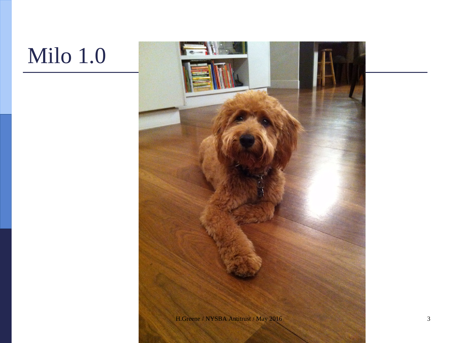# Milo 1.0

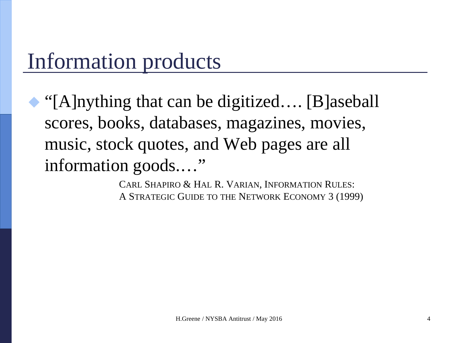### Information products

 "[A]nything that can be digitized…. [B]aseball scores, books, databases, magazines, movies, music, stock quotes, and Web pages are all information goods...."

> CARL SHAPIRO & HAL R. VARIAN, INFORMATION RULES: A STRATEGIC GUIDE TO THE NETWORK ECONOMY 3 (1999)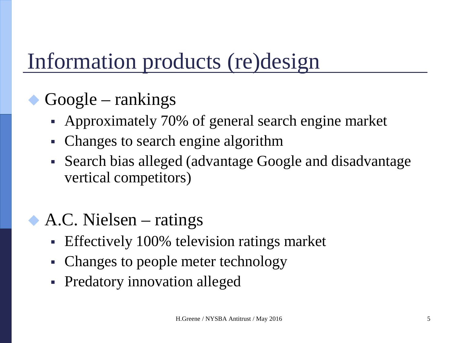## Information products (re)design

#### Google – rankings

- Approximately 70% of general search engine market
- Changes to search engine algorithm
- Search bias alleged (advantage Google and disadvantage vertical competitors)
- A.C. Nielsen ratings
	- **Effectively 100% television ratings market**
	- Changes to people meter technology
	- Predatory innovation alleged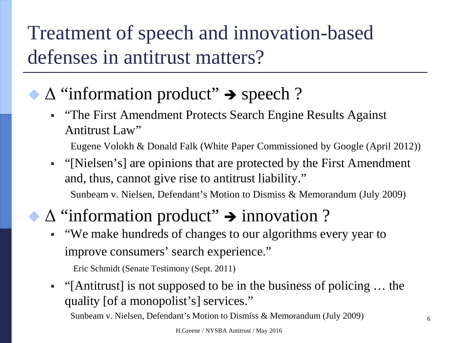Treatment of speech and innovation-based defenses in antitrust matters?

#### $\Delta$  "information product"  $\rightarrow$  speech ?

**•**  "The First Amendment Protects Search Engine Results Against Antitrust Law"

Eugene Volokh & Donald Falk (White Paper Commissioned by Google (April 2012))

 "[Nielsen's] are opinions that are protected by the First Amendment and, thus, cannot give rise to antitrust liability." Sunbeam v. Nielsen, Defendant's Motion to Dismiss & Memorandum (July 2009)

#### $\Delta$  "information product"  $\rightarrow$  innovation ?

 "We make hundreds of changes to our algorithms every year to improve consumers' search experience."

Eric Schmidt (Senate Testimony (Sept. 2011)

 "[Antitrust] is not supposed to be in the business of policing … the quality [of a monopolist's] services."

Sunbeam v. Nielsen, Defendant's Motion to Dismiss & Memorandum (July 2009)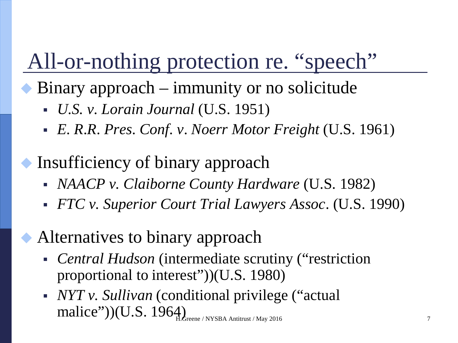## All-or-nothing protection re. "speech"

- Binary approach immunity or no solicitude
	- *U.S. v. Lorain Journal* (U.S. 1951)
	- *E*. *R*.*R*. *Pres*. *Conf*. *v*. *Noerr Motor Freight* (U.S. 1961)
- Insufficiency of binary approach
	- *NAACP v. Claiborne County Hardware* (U.S. 1982)
	- *FTC v. Superior Court Trial Lawyers Assoc*. (U.S. 1990)
	- Alternatives to binary approach
		- *Central Hudson* (intermediate scrutiny ("restriction proportional to interest"))(U.S. 1980)
		- *NYT v. Sullivan* (conditional privilege ("actual  $\text{malice''}$ ))(U.S. 1964)<br>H.Greene / NYSBA Antitrust / May 2016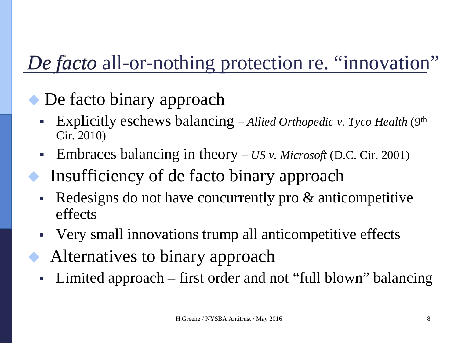### *De facto* all-or-nothing protection re. "innovation"

#### De facto binary approach

- Explicitly eschews balancing *Allied Orthopedic v. Tyco Health* (9th Cir. 2010)
- Embraces balancing in theory *US v. Microsoft* (D.C. Cir. 2001)
- Insufficiency of de facto binary approach
- Redesigns do not have concurrently pro & anticompetitive effects
- Very small innovations trump all anticompetitive effects
- Alternatives to binary approach
- Limited approach first order and not "full blown" balancing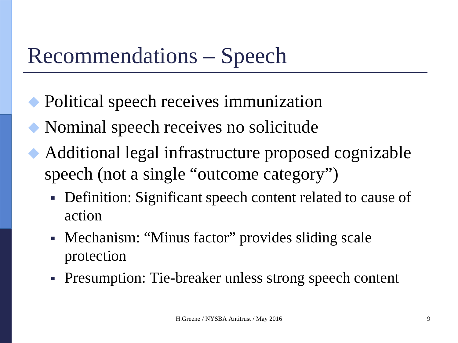## Recommendations – Speech

- Political speech receives immunization
- Nominal speech receives no solicitude
- Additional legal infrastructure proposed cognizable speech (not a single "outcome category")
	- Definition: Significant speech content related to cause of action
	- Mechanism: "Minus factor" provides sliding scale protection
	- Presumption: Tie-breaker unless strong speech content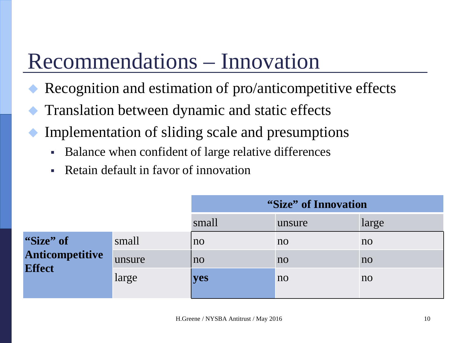# Recommendations – Innovation

- Recognition and estimation of pro/anticompetitive effects
- Translation between dynamic and static effects
- Implementation of sliding scale and presumptions
	- Balance when confident of large relative differences
	- Retain default in favor of innovation

|                                               |        | "Size" of Innovation |                |                |
|-----------------------------------------------|--------|----------------------|----------------|----------------|
|                                               |        | small                | unsure         | large          |
| "Size" of<br>Anticompetitive<br><b>Effect</b> | small  | n <sub>O</sub>       | no             | no             |
|                                               | unsure | n <sub>O</sub>       | no             | n <sub>0</sub> |
|                                               | large  | <b>yes</b>           | n <sub>o</sub> | no             |
|                                               |        |                      |                |                |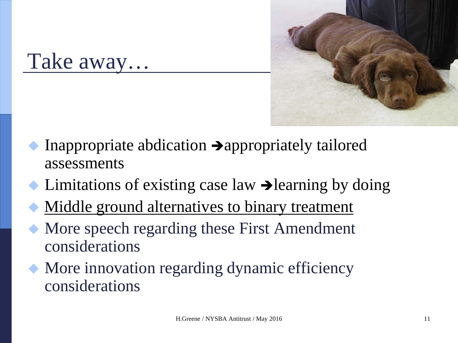

Take away…

- Inappropriate abdication  $\rightarrow$  appropriately tailored assessments
- Limitations of existing case law  $\rightarrow$  learning by doing
- Middle ground alternatives to binary treatment
- More speech regarding these First Amendment considerations
- More innovation regarding dynamic efficiency considerations